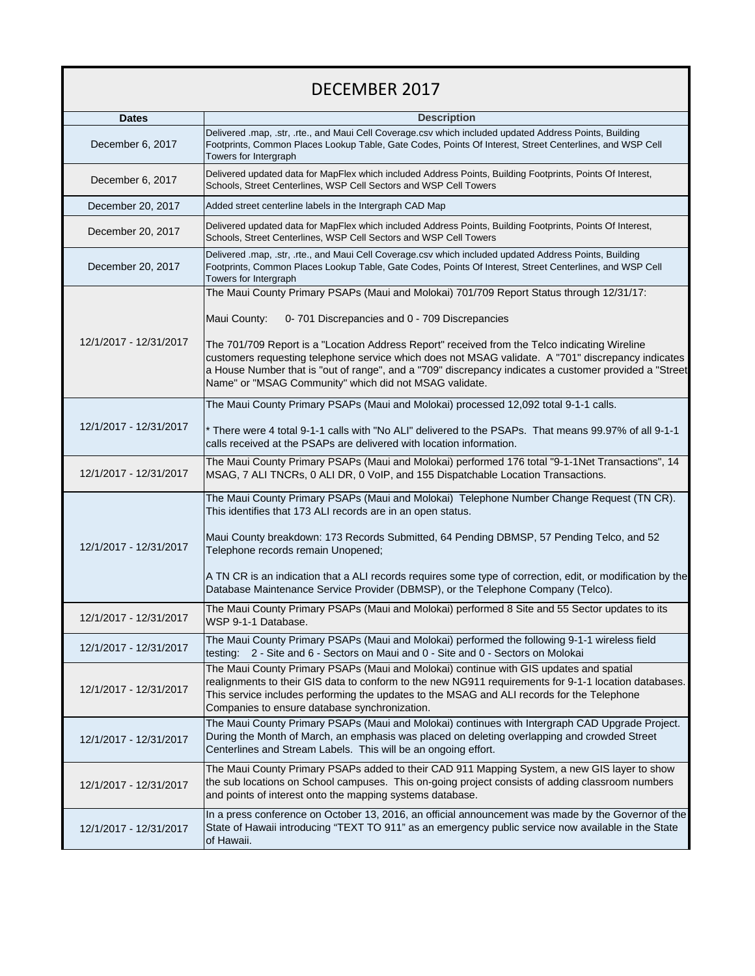| DECEMBER 2017          |                                                                                                                                                                                                                                                                                                                                                                         |
|------------------------|-------------------------------------------------------------------------------------------------------------------------------------------------------------------------------------------------------------------------------------------------------------------------------------------------------------------------------------------------------------------------|
| <b>Dates</b>           | <b>Description</b>                                                                                                                                                                                                                                                                                                                                                      |
| December 6, 2017       | Delivered .map, .str, .rte., and Maui Cell Coverage.csv which included updated Address Points, Building<br>Footprints, Common Places Lookup Table, Gate Codes, Points Of Interest, Street Centerlines, and WSP Cell<br>Towers for Intergraph                                                                                                                            |
| December 6, 2017       | Delivered updated data for MapFlex which included Address Points, Building Footprints, Points Of Interest,<br>Schools, Street Centerlines, WSP Cell Sectors and WSP Cell Towers                                                                                                                                                                                         |
| December 20, 2017      | Added street centerline labels in the Intergraph CAD Map                                                                                                                                                                                                                                                                                                                |
| December 20, 2017      | Delivered updated data for MapFlex which included Address Points, Building Footprints, Points Of Interest,<br>Schools, Street Centerlines, WSP Cell Sectors and WSP Cell Towers                                                                                                                                                                                         |
| December 20, 2017      | Delivered .map, .str, .rte., and Maui Cell Coverage.csv which included updated Address Points, Building<br>Footprints, Common Places Lookup Table, Gate Codes, Points Of Interest, Street Centerlines, and WSP Cell<br>Towers for Intergraph                                                                                                                            |
|                        | The Maui County Primary PSAPs (Maui and Molokai) 701/709 Report Status through 12/31/17:                                                                                                                                                                                                                                                                                |
|                        | Maui County:<br>0-701 Discrepancies and 0 - 709 Discrepancies                                                                                                                                                                                                                                                                                                           |
| 12/1/2017 - 12/31/2017 | The 701/709 Report is a "Location Address Report" received from the Telco indicating Wireline<br>customers requesting telephone service which does not MSAG validate. A "701" discrepancy indicates<br>a House Number that is "out of range", and a "709" discrepancy indicates a customer provided a "Street<br>Name" or "MSAG Community" which did not MSAG validate. |
|                        | The Maui County Primary PSAPs (Maui and Molokai) processed 12,092 total 9-1-1 calls.                                                                                                                                                                                                                                                                                    |
| 12/1/2017 - 12/31/2017 | * There were 4 total 9-1-1 calls with "No ALI" delivered to the PSAPs. That means 99.97% of all 9-1-1<br>calls received at the PSAPs are delivered with location information.                                                                                                                                                                                           |
| 12/1/2017 - 12/31/2017 | The Maui County Primary PSAPs (Maui and Molokai) performed 176 total "9-1-1Net Transactions", 14<br>MSAG, 7 ALI TNCRs, 0 ALI DR, 0 VoIP, and 155 Dispatchable Location Transactions.                                                                                                                                                                                    |
| 12/1/2017 - 12/31/2017 | The Maui County Primary PSAPs (Maui and Molokai) Telephone Number Change Request (TN CR).<br>This identifies that 173 ALI records are in an open status.<br>Maui County breakdown: 173 Records Submitted, 64 Pending DBMSP, 57 Pending Telco, and 52<br>Telephone records remain Unopened;                                                                              |
|                        | A TN CR is an indication that a ALI records requires some type of correction, edit, or modification by the<br>Database Maintenance Service Provider (DBMSP), or the Telephone Company (Telco).                                                                                                                                                                          |
| 12/1/2017 - 12/31/2017 | The Maui County Primary PSAPs (Maui and Molokai) performed 8 Site and 55 Sector updates to its<br>WSP 9-1-1 Database.                                                                                                                                                                                                                                                   |
| 12/1/2017 - 12/31/2017 | The Maui County Primary PSAPs (Maui and Molokai) performed the following 9-1-1 wireless field<br>testing: 2 - Site and 6 - Sectors on Maui and 0 - Site and 0 - Sectors on Molokai                                                                                                                                                                                      |
| 12/1/2017 - 12/31/2017 | The Maui County Primary PSAPs (Maui and Molokai) continue with GIS updates and spatial<br>realignments to their GIS data to conform to the new NG911 requirements for 9-1-1 location databases.<br>This service includes performing the updates to the MSAG and ALI records for the Telephone<br>Companies to ensure database synchronization.                          |
| 12/1/2017 - 12/31/2017 | The Maui County Primary PSAPs (Maui and Molokai) continues with Intergraph CAD Upgrade Project.<br>During the Month of March, an emphasis was placed on deleting overlapping and crowded Street<br>Centerlines and Stream Labels. This will be an ongoing effort.                                                                                                       |
| 12/1/2017 - 12/31/2017 | The Maui County Primary PSAPs added to their CAD 911 Mapping System, a new GIS layer to show<br>the sub locations on School campuses. This on-going project consists of adding classroom numbers<br>and points of interest onto the mapping systems database.                                                                                                           |
| 12/1/2017 - 12/31/2017 | In a press conference on October 13, 2016, an official announcement was made by the Governor of the<br>State of Hawaii introducing "TEXT TO 911" as an emergency public service now available in the State<br>of Hawaii.                                                                                                                                                |